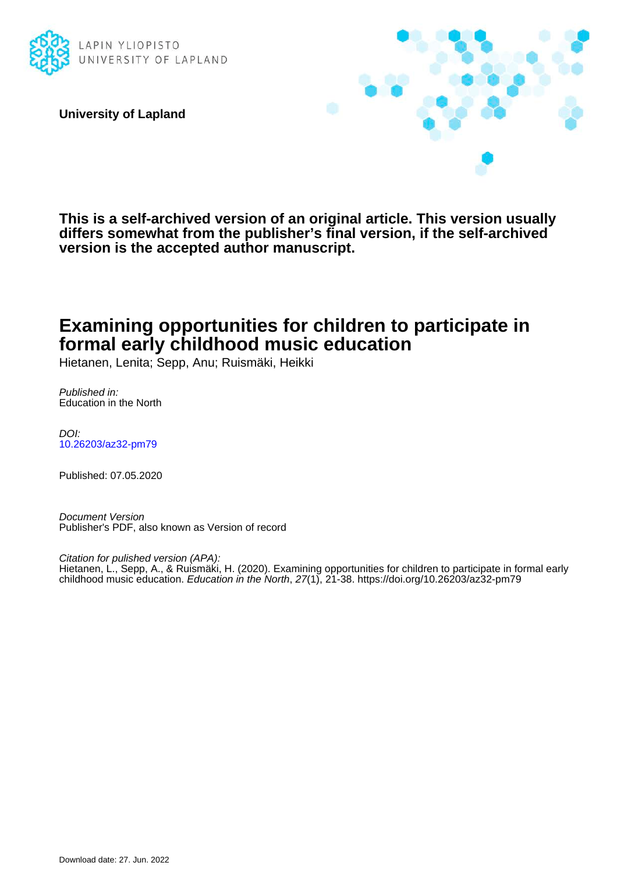

**University of Lapland**



**This is a self-archived version of an original article. This version usually differs somewhat from the publisher's final version, if the self-archived version is the accepted author manuscript.**

# **Examining opportunities for children to participate in formal early childhood music education**

Hietanen, Lenita; Sepp, Anu; Ruismäki, Heikki

Published in: Education in the North

DOI: [10.26203/az32-pm79](https://doi.org/10.26203/az32-pm79)

Published: 07.05.2020

Document Version Publisher's PDF, also known as Version of record

Citation for pulished version (APA): Hietanen, L., Sepp, A., & Ruismäki, H. (2020). Examining opportunities for children to participate in formal early childhood music education. Education in the North, 27(1), 21-38. <https://doi.org/10.26203/az32-pm79>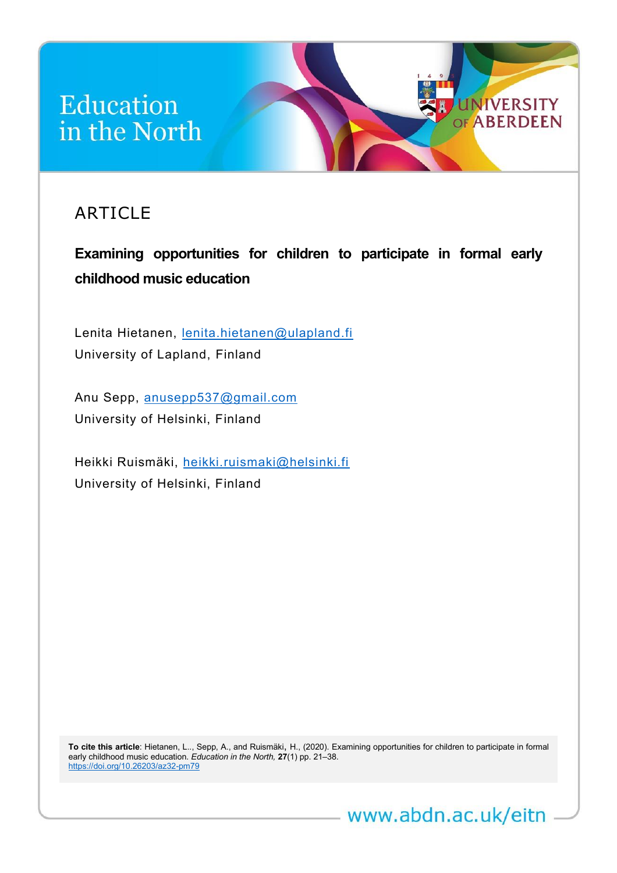# Education in the North

# ARTICLE

**Examining opportunities for children to participate in formal early childhood music education**

*Education in the North* **27**(1) (2020) <http://www.abdn.ac.uk/eitn> 1

**UNIVERSITY** OF ABERDEEN

Lenita Hietanen, [lenita.hietanen@ulapland.fi](mailto:lenita.hietanen@ulapland.fi) University of Lapland, Finland

Anu Sepp, [anusepp537@gmail.com](mailto:anusepp537@gmail.com) University of Helsinki, Finland

Heikki Ruismäki, [heikki.ruismaki@helsinki.fi](mailto:heikki.ruismaki@helsinki.fi) University of Helsinki, Finland

**To cite this article**: Hietanen, L.., Sepp, A., and Ruismäki, H., (2020). Examining opportunities for children to participate in formal early childhood music education. *Education in the North,* **27**(1) pp. 21–38. <https://doi.org/10.26203/az32-pm79>

www.abdn.ac.uk/eitn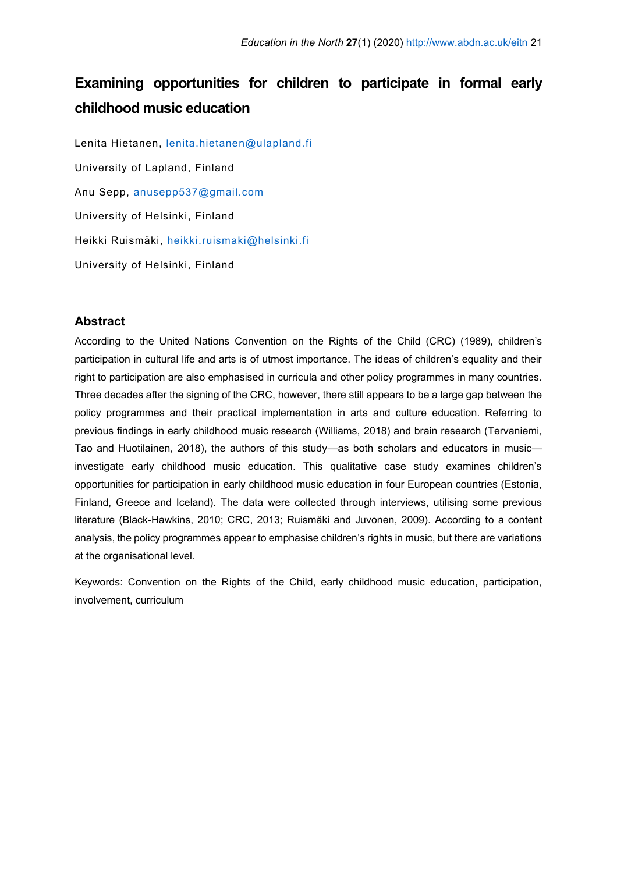# **Examining opportunities for children to participate in formal early childhood music education**

Lenita Hietanen, [lenita.hietanen@ulapland.fi](mailto:lenita.hietanen@ulapland.fi) University of Lapland, Finland Anu Sepp, [anusepp537@gmail.com](mailto:anusepp537@gmail.com) University of Helsinki, Finland Heikki Ruismäki, [heikki.ruismaki@helsinki.fi](mailto:heikki.ruismaki@helsinki.fi) University of Helsinki, Finland

# **Abstract**

According to the United Nations Convention on the Rights of the Child (CRC) (1989), children's participation in cultural life and arts is of utmost importance. The ideas of children's equality and their right to participation are also emphasised in curricula and other policy programmes in many countries. Three decades after the signing of the CRC, however, there still appears to be a large gap between the policy programmes and their practical implementation in arts and culture education. Referring to previous findings in early childhood music research (Williams, 2018) and brain research (Tervaniemi, Tao and Huotilainen, 2018), the authors of this study—as both scholars and educators in music investigate early childhood music education. This qualitative case study examines children's opportunities for participation in early childhood music education in four European countries (Estonia, Finland, Greece and Iceland). The data were collected through interviews, utilising some previous literature (Black-Hawkins, 2010; CRC, 2013; Ruismäki and Juvonen, 2009). According to a content analysis, the policy programmes appear to emphasise children's rights in music, but there are variations at the organisational level.

Keywords: Convention on the Rights of the Child, early childhood music education, participation, involvement, curriculum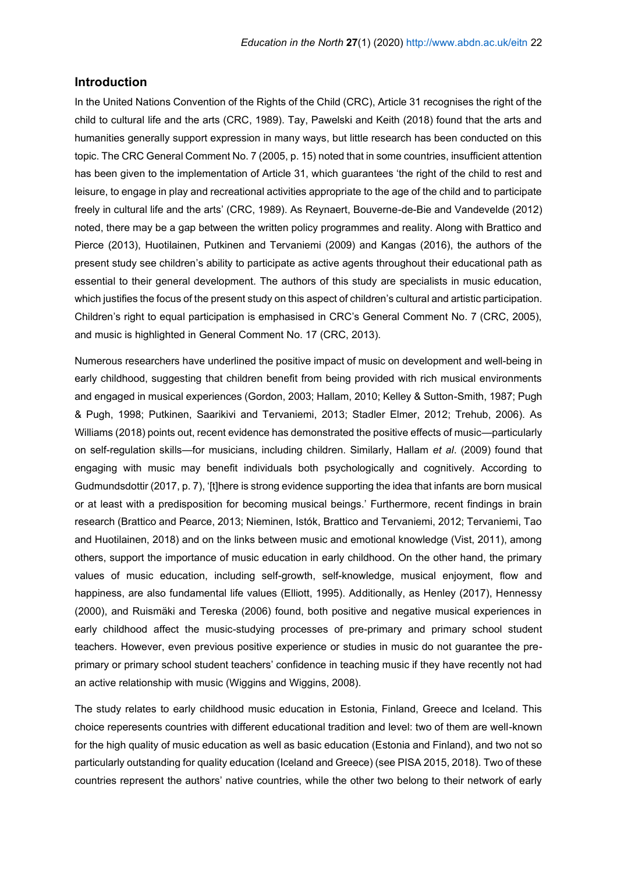### **Introduction**

In the United Nations Convention of the Rights of the Child (CRC), Article 31 recognises the right of the child to cultural life and the arts (CRC, 1989). Tay, Pawelski and Keith (2018) found that the arts and humanities generally support expression in many ways, but little research has been conducted on this topic. The CRC General Comment No. 7 (2005, p. 15) noted that in some countries, insufficient attention has been given to the implementation of Article 31, which guarantees 'the right of the child to rest and leisure, to engage in play and recreational activities appropriate to the age of the child and to participate freely in cultural life and the arts' (CRC, 1989). As Reynaert, Bouverne-de-Bie and Vandevelde (2012) noted, there may be a gap between the written policy programmes and reality. Along with Brattico and Pierce (2013), Huotilainen, Putkinen and Tervaniemi (2009) and Kangas (2016), the authors of the present study see children's ability to participate as active agents throughout their educational path as essential to their general development. The authors of this study are specialists in music education, which justifies the focus of the present study on this aspect of children's cultural and artistic participation. Children's right to equal participation is emphasised in CRC's General Comment No. 7 (CRC, 2005), and music is highlighted in General Comment No. 17 (CRC, 2013).

Numerous researchers have underlined the positive impact of music on development and well-being in early childhood, suggesting that children benefit from being provided with rich musical environments and engaged in musical experiences (Gordon, 2003; Hallam, 2010; Kelley & Sutton-Smith, 1987; Pugh & Pugh, 1998; Putkinen, Saarikivi and Tervaniemi, 2013; Stadler Elmer, 2012; Trehub, 2006). As Williams (2018) points out, recent evidence has demonstrated the positive effects of music—particularly on self-regulation skills—for musicians, including children. Similarly, Hallam *et al*. (2009) found that engaging with music may benefit individuals both psychologically and cognitively. According to Gudmundsdottir (2017, p. 7), '[t]here is strong evidence supporting the idea that infants are born musical or at least with a predisposition for becoming musical beings.' Furthermore, recent findings in brain research (Brattico and Pearce, 2013; Nieminen, Istók, Brattico and Tervaniemi, 2012; Tervaniemi, Tao and Huotilainen, 2018) and on the links between music and emotional knowledge (Vist, 2011), among others, support the importance of music education in early childhood. On the other hand, the primary values of music education, including self-growth, self-knowledge, musical enjoyment, flow and happiness, are also fundamental life values (Elliott, 1995). Additionally, as Henley (2017), Hennessy (2000), and Ruismäki and Tereska (2006) found, both positive and negative musical experiences in early childhood affect the music-studying processes of pre-primary and primary school student teachers. However, even previous positive experience or studies in music do not guarantee the preprimary or primary school student teachers' confidence in teaching music if they have recently not had an active relationship with music (Wiggins and Wiggins, 2008).

The study relates to early childhood music education in Estonia, Finland, Greece and Iceland. This choice reperesents countries with different educational tradition and level: two of them are well-known for the high quality of music education as well as basic education (Estonia and Finland), and two not so particularly outstanding for quality education (Iceland and Greece) (see PISA 2015, 2018). Two of these countries represent the authors' native countries, while the other two belong to their network of early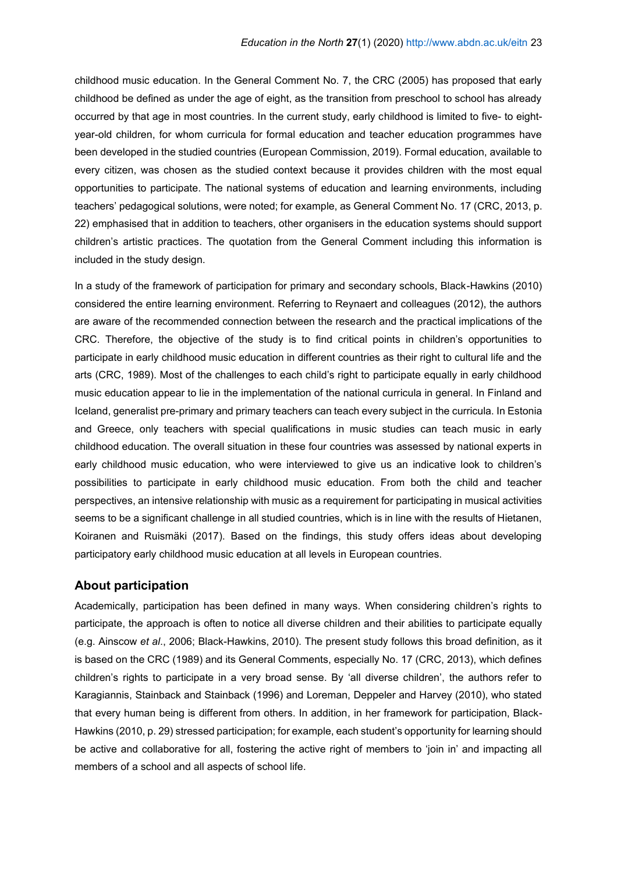childhood music education. In the General Comment No. 7, the CRC (2005) has proposed that early childhood be defined as under the age of eight, as the transition from preschool to school has already occurred by that age in most countries. In the current study, early childhood is limited to five- to eightyear-old children, for whom curricula for formal education and teacher education programmes have been developed in the studied countries (European Commission, 2019). Formal education, available to every citizen, was chosen as the studied context because it provides children with the most equal opportunities to participate. The national systems of education and learning environments, including teachers' pedagogical solutions, were noted; for example, as General Comment No. 17 (CRC, 2013, p. 22) emphasised that in addition to teachers, other organisers in the education systems should support children's artistic practices. The quotation from the General Comment including this information is included in the study design.

In a study of the framework of participation for primary and secondary schools, Black-Hawkins (2010) considered the entire learning environment. Referring to Reynaert and colleagues (2012), the authors are aware of the recommended connection between the research and the practical implications of the CRC. Therefore, the objective of the study is to find critical points in children's opportunities to participate in early childhood music education in different countries as their right to cultural life and the arts (CRC, 1989). Most of the challenges to each child's right to participate equally in early childhood music education appear to lie in the implementation of the national curricula in general. In Finland and Iceland, generalist pre-primary and primary teachers can teach every subject in the curricula. In Estonia and Greece, only teachers with special qualifications in music studies can teach music in early childhood education. The overall situation in these four countries was assessed by national experts in early childhood music education, who were interviewed to give us an indicative look to children's possibilities to participate in early childhood music education. From both the child and teacher perspectives, an intensive relationship with music as a requirement for participating in musical activities seems to be a significant challenge in all studied countries, which is in line with the results of Hietanen, Koiranen and Ruismäki (2017). Based on the findings, this study offers ideas about developing participatory early childhood music education at all levels in European countries.

# **About participation**

Academically, participation has been defined in many ways. When considering children's rights to participate, the approach is often to notice all diverse children and their abilities to participate equally (e.g. Ainscow *et al*., 2006; Black-Hawkins, 2010). The present study follows this broad definition, as it is based on the CRC (1989) and its General Comments, especially No. 17 (CRC, 2013), which defines children's rights to participate in a very broad sense. By 'all diverse children', the authors refer to Karagiannis, Stainback and Stainback (1996) and Loreman, Deppeler and Harvey (2010), who stated that every human being is different from others. In addition, in her framework for participation, Black-Hawkins (2010, p. 29) stressed participation; for example, each student's opportunity for learning should be active and collaborative for all, fostering the active right of members to 'join in' and impacting all members of a school and all aspects of school life.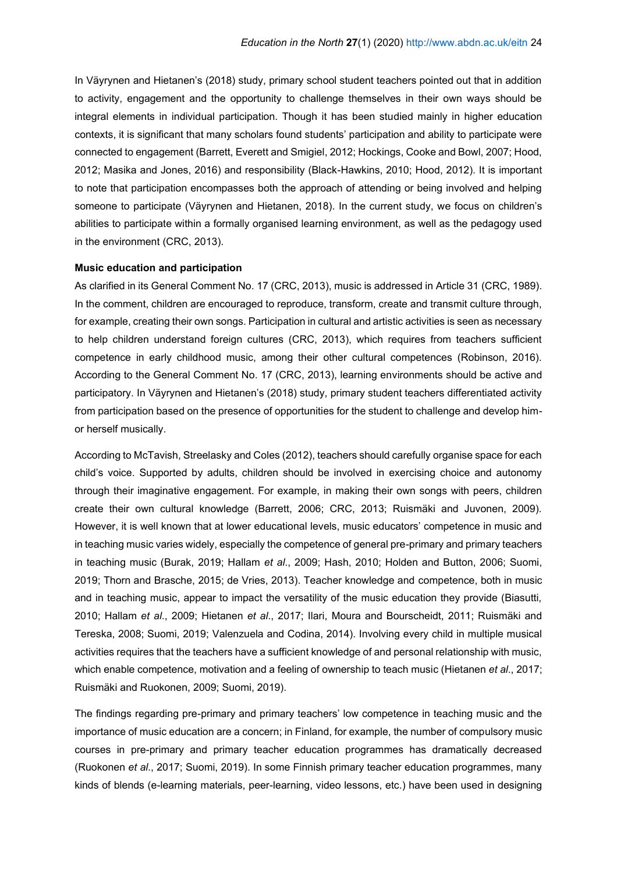In Väyrynen and Hietanen's (2018) study, primary school student teachers pointed out that in addition to activity, engagement and the opportunity to challenge themselves in their own ways should be integral elements in individual participation. Though it has been studied mainly in higher education contexts, it is significant that many scholars found students' participation and ability to participate were connected to engagement (Barrett, Everett and Smigiel, 2012; Hockings, Cooke and Bowl, 2007; Hood, 2012; Masika and Jones, 2016) and responsibility (Black-Hawkins, 2010; Hood, 2012). It is important to note that participation encompasses both the approach of attending or being involved and helping someone to participate (Väyrynen and Hietanen, 2018). In the current study, we focus on children's abilities to participate within a formally organised learning environment, as well as the pedagogy used in the environment (CRC, 2013).

#### **Music education and participation**

As clarified in its General Comment No. 17 (CRC, 2013), music is addressed in Article 31 (CRC, 1989). In the comment, children are encouraged to reproduce, transform, create and transmit culture through, for example, creating their own songs. Participation in cultural and artistic activities is seen as necessary to help children understand foreign cultures (CRC, 2013), which requires from teachers sufficient competence in early childhood music, among their other cultural competences (Robinson, 2016). According to the General Comment No. 17 (CRC, 2013), learning environments should be active and participatory. In Väyrynen and Hietanen's (2018) study, primary student teachers differentiated activity from participation based on the presence of opportunities for the student to challenge and develop himor herself musically.

According to McTavish, Streelasky and Coles (2012), teachers should carefully organise space for each child's voice. Supported by adults, children should be involved in exercising choice and autonomy through their imaginative engagement. For example, in making their own songs with peers, children create their own cultural knowledge (Barrett, 2006; CRC, 2013; Ruismäki and Juvonen, 2009). However, it is well known that at lower educational levels, music educators' competence in music and in teaching music varies widely, especially the competence of general pre-primary and primary teachers in teaching music (Burak, 2019; Hallam *et al*., 2009; Hash, 2010; Holden and Button, 2006; Suomi, 2019; Thorn and Brasche, 2015; de Vries, 2013). Teacher knowledge and competence, both in music and in teaching music, appear to impact the versatility of the music education they provide (Biasutti, 2010; Hallam *et al*., 2009; Hietanen *et al*., 2017; Ilari, Moura and Bourscheidt, 2011; Ruismäki and Tereska, 2008; Suomi, 2019; Valenzuela and Codina, 2014). Involving every child in multiple musical activities requires that the teachers have a sufficient knowledge of and personal relationship with music, which enable competence, motivation and a feeling of ownership to teach music (Hietanen *et al*., 2017; Ruismäki and Ruokonen, 2009; Suomi, 2019).

The findings regarding pre-primary and primary teachers' low competence in teaching music and the importance of music education are a concern; in Finland, for example, the number of compulsory music courses in pre-primary and primary teacher education programmes has dramatically decreased (Ruokonen *et al*., 2017; Suomi, 2019). In some Finnish primary teacher education programmes, many kinds of blends (e-learning materials, peer-learning, video lessons, etc.) have been used in designing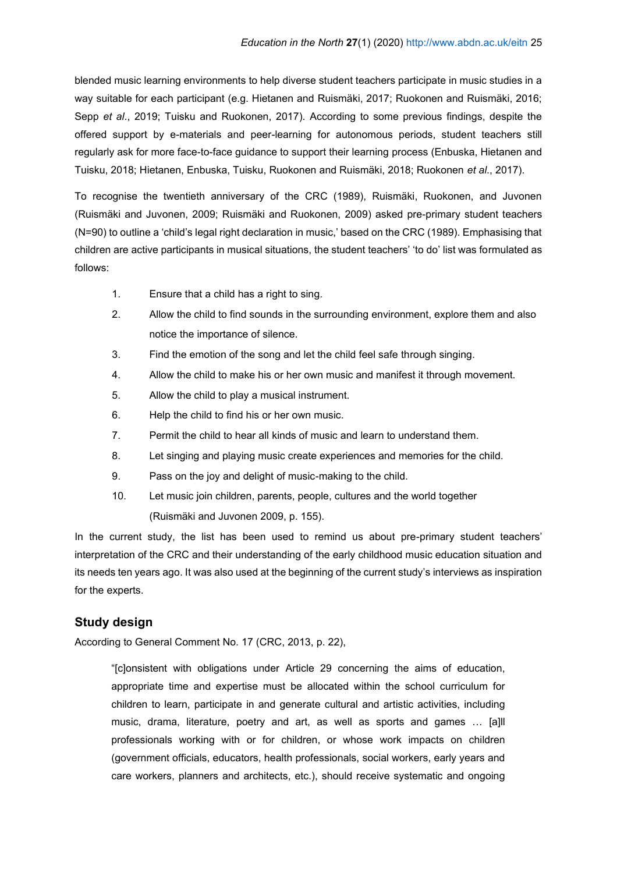blended music learning environments to help diverse student teachers participate in music studies in a way suitable for each participant (e.g. Hietanen and Ruismäki, 2017; Ruokonen and Ruismäki, 2016; Sepp *et al*., 2019; Tuisku and Ruokonen, 2017). According to some previous findings, despite the offered support by e-materials and peer-learning for autonomous periods, student teachers still regularly ask for more face-to-face guidance to support their learning process (Enbuska, Hietanen and Tuisku, 2018; Hietanen, Enbuska, Tuisku, Ruokonen and Ruismäki, 2018; Ruokonen *et al*., 2017).

To recognise the twentieth anniversary of the CRC (1989), Ruismäki, Ruokonen, and Juvonen (Ruismäki and Juvonen, 2009; Ruismäki and Ruokonen, 2009) asked pre-primary student teachers (N=90) to outline a 'child's legal right declaration in music,' based on the CRC (1989). Emphasising that children are active participants in musical situations, the student teachers' 'to do' list was formulated as follows:

- 1. Ensure that a child has a right to sing.
- 2. Allow the child to find sounds in the surrounding environment, explore them and also notice the importance of silence.
- 3. Find the emotion of the song and let the child feel safe through singing.
- 4. Allow the child to make his or her own music and manifest it through movement.
- 5. Allow the child to play a musical instrument.
- 6. Help the child to find his or her own music.
- 7. Permit the child to hear all kinds of music and learn to understand them.
- 8. Let singing and playing music create experiences and memories for the child.
- 9. Pass on the joy and delight of music-making to the child.
- 10. Let music join children, parents, people, cultures and the world together

(Ruismäki and Juvonen 2009, p. 155).

In the current study, the list has been used to remind us about pre-primary student teachers' interpretation of the CRC and their understanding of the early childhood music education situation and its needs ten years ago. It was also used at the beginning of the current study's interviews as inspiration for the experts.

# **Study design**

According to General Comment No. 17 (CRC, 2013, p. 22),

"[c]onsistent with obligations under Article 29 concerning the aims of education, appropriate time and expertise must be allocated within the school curriculum for children to learn, participate in and generate cultural and artistic activities, including music, drama, literature, poetry and art, as well as sports and games … [a]ll professionals working with or for children, or whose work impacts on children (government officials, educators, health professionals, social workers, early years and care workers, planners and architects, etc.), should receive systematic and ongoing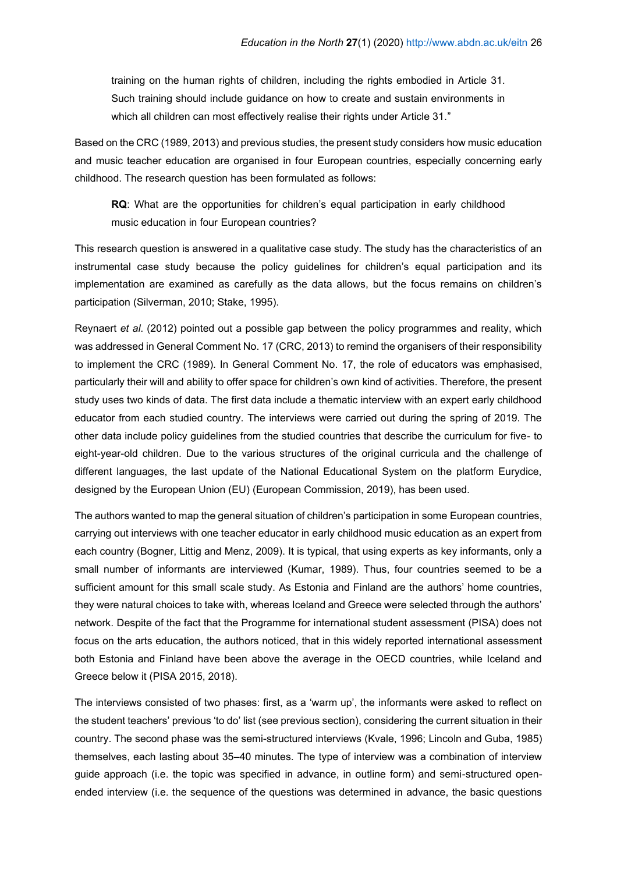training on the human rights of children, including the rights embodied in Article 31. Such training should include guidance on how to create and sustain environments in which all children can most effectively realise their rights under Article 31."

Based on the CRC (1989, 2013) and previous studies, the present study considers how music education and music teacher education are organised in four European countries, especially concerning early childhood. The research question has been formulated as follows:

**RQ**: What are the opportunities for children's equal participation in early childhood music education in four European countries?

This research question is answered in a qualitative case study. The study has the characteristics of an instrumental case study because the policy guidelines for children's equal participation and its implementation are examined as carefully as the data allows, but the focus remains on children's participation (Silverman, 2010; Stake, 1995).

Reynaert *et al*. (2012) pointed out a possible gap between the policy programmes and reality, which was addressed in General Comment No. 17 (CRC, 2013) to remind the organisers of their responsibility to implement the CRC (1989). In General Comment No. 17, the role of educators was emphasised, particularly their will and ability to offer space for children's own kind of activities. Therefore, the present study uses two kinds of data. The first data include a thematic interview with an expert early childhood educator from each studied country. The interviews were carried out during the spring of 2019. The other data include policy guidelines from the studied countries that describe the curriculum for five- to eight-year-old children. Due to the various structures of the original curricula and the challenge of different languages, the last update of the National Educational System on the platform Eurydice, designed by the European Union (EU) (European Commission, 2019), has been used.

The authors wanted to map the general situation of children's participation in some European countries, carrying out interviews with one teacher educator in early childhood music education as an expert from each country (Bogner, Littig and Menz, 2009). It is typical, that using experts as key informants, only a small number of informants are interviewed (Kumar, 1989). Thus, four countries seemed to be a sufficient amount for this small scale study. As Estonia and Finland are the authors' home countries, they were natural choices to take with, whereas Iceland and Greece were selected through the authors' network. Despite of the fact that the Programme for international student assessment (PISA) does not focus on the arts education, the authors noticed, that in this widely reported international assessment both Estonia and Finland have been above the average in the OECD countries, while Iceland and Greece below it (PISA 2015, 2018).

The interviews consisted of two phases: first, as a 'warm up', the informants were asked to reflect on the student teachers' previous 'to do' list (see previous section), considering the current situation in their country. The second phase was the semi-structured interviews (Kvale, 1996; Lincoln and Guba, 1985) themselves, each lasting about 35–40 minutes. The type of interview was a combination of interview guide approach (i.e. the topic was specified in advance, in outline form) and semi-structured openended interview (i.e. the sequence of the questions was determined in advance, the basic questions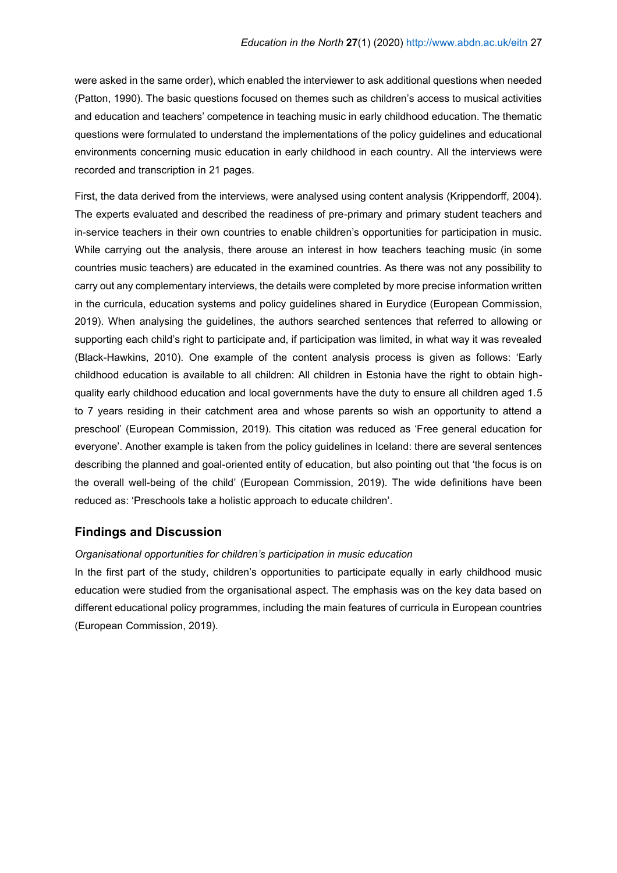were asked in the same order), which enabled the interviewer to ask additional questions when needed (Patton, 1990). The basic questions focused on themes such as children's access to musical activities and education and teachers' competence in teaching music in early childhood education. The thematic questions were formulated to understand the implementations of the policy guidelines and educational environments concerning music education in early childhood in each country. All the interviews were recorded and transcription in 21 pages.

First, the data derived from the interviews, were analysed using content analysis (Krippendorff, 2004). The experts evaluated and described the readiness of pre-primary and primary student teachers and in-service teachers in their own countries to enable children's opportunities for participation in music. While carrying out the analysis, there arouse an interest in how teachers teaching music (in some countries music teachers) are educated in the examined countries. As there was not any possibility to carry out any complementary interviews, the details were completed by more precise information written in the curricula, education systems and policy guidelines shared in Eurydice (European Commission, 2019). When analysing the guidelines, the authors searched sentences that referred to allowing or supporting each child's right to participate and, if participation was limited, in what way it was revealed (Black-Hawkins, 2010). One example of the content analysis process is given as follows: 'Early childhood education is available to all children: All children in Estonia have the right to obtain highquality early childhood education and local governments have the duty to ensure all children aged 1.5 to 7 years residing in their catchment area and whose parents so wish an opportunity to attend a preschool' (European Commission, 2019). This citation was reduced as 'Free general education for everyone'. Another example is taken from the policy guidelines in Iceland: there are several sentences describing the planned and goal-oriented entity of education, but also pointing out that 'the focus is on the overall well-being of the child' (European Commission, 2019). The wide definitions have been reduced as: 'Preschools take a holistic approach to educate children'.

### **Findings and Discussion**

#### *Organisational opportunities for children's participation in music education*

In the first part of the study, children's opportunities to participate equally in early childhood music education were studied from the organisational aspect. The emphasis was on the key data based on different educational policy programmes, including the main features of curricula in European countries (European Commission, 2019).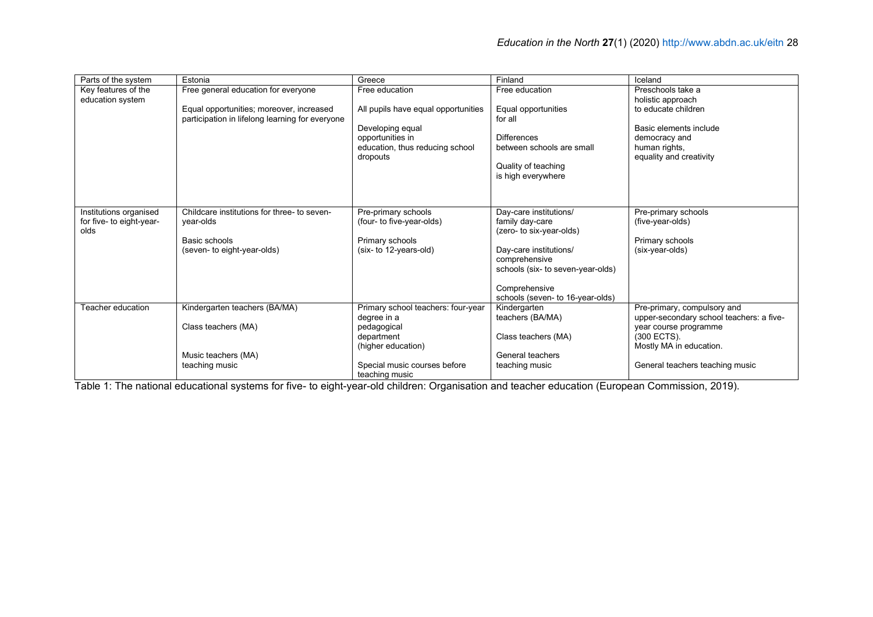| Parts of the system      | Estonia                                         | Greece                              | Finland                                          | Iceland                                  |
|--------------------------|-------------------------------------------------|-------------------------------------|--------------------------------------------------|------------------------------------------|
| Key features of the      | Free general education for everyone             | Free education                      | Free education                                   | Preschools take a                        |
| education system         |                                                 |                                     |                                                  | holistic approach                        |
|                          | Equal opportunities; moreover, increased        | All pupils have equal opportunities | Equal opportunities                              | to educate children                      |
|                          | participation in lifelong learning for everyone |                                     | for all                                          |                                          |
|                          |                                                 | Developing equal                    |                                                  | Basic elements include                   |
|                          |                                                 | opportunities in                    | <b>Differences</b>                               | democracy and                            |
|                          |                                                 | education, thus reducing school     | between schools are small                        | human rights,                            |
|                          |                                                 | dropouts                            |                                                  | equality and creativity                  |
|                          |                                                 |                                     | Quality of teaching                              |                                          |
|                          |                                                 |                                     | is high everywhere                               |                                          |
|                          |                                                 |                                     |                                                  |                                          |
|                          |                                                 |                                     |                                                  |                                          |
| Institutions organised   | Childcare institutions for three- to seven-     | Pre-primary schools                 | Day-care institutions/                           | Pre-primary schools                      |
| for five- to eight-year- | year-olds                                       | (four- to five-year-olds)           | family day-care                                  | (five-year-olds)                         |
| olds                     |                                                 |                                     | (zero- to six-year-olds)                         |                                          |
|                          | Basic schools                                   | Primary schools                     |                                                  | Primary schools                          |
|                          | (seven- to eight-year-olds)                     | (six- to 12-years-old)              | Day-care institutions/                           | (six-year-olds)                          |
|                          |                                                 |                                     | comprehensive                                    |                                          |
|                          |                                                 |                                     | schools (six- to seven-year-olds)                |                                          |
|                          |                                                 |                                     |                                                  |                                          |
|                          |                                                 |                                     | Comprehensive                                    |                                          |
| Teacher education        | Kindergarten teachers (BA/MA)                   | Primary school teachers: four-year  | schools (seven- to 16-year-olds)<br>Kindergarten | Pre-primary, compulsory and              |
|                          |                                                 | degree in a                         | teachers (BA/MA)                                 | upper-secondary school teachers: a five- |
|                          | Class teachers (MA)                             | pedagogical                         |                                                  | year course programme                    |
|                          |                                                 | department                          | Class teachers (MA)                              | (300 ECTS).                              |
|                          |                                                 | (higher education)                  |                                                  | Mostly MA in education.                  |
|                          | Music teachers (MA)                             |                                     | General teachers                                 |                                          |
|                          | teaching music                                  | Special music courses before        | teaching music                                   | General teachers teaching music          |
|                          |                                                 | teaching music                      |                                                  |                                          |

Table 1: The national educational systems for five- to eight-year-old children: Organisation and teacher education (European Commission, 2019).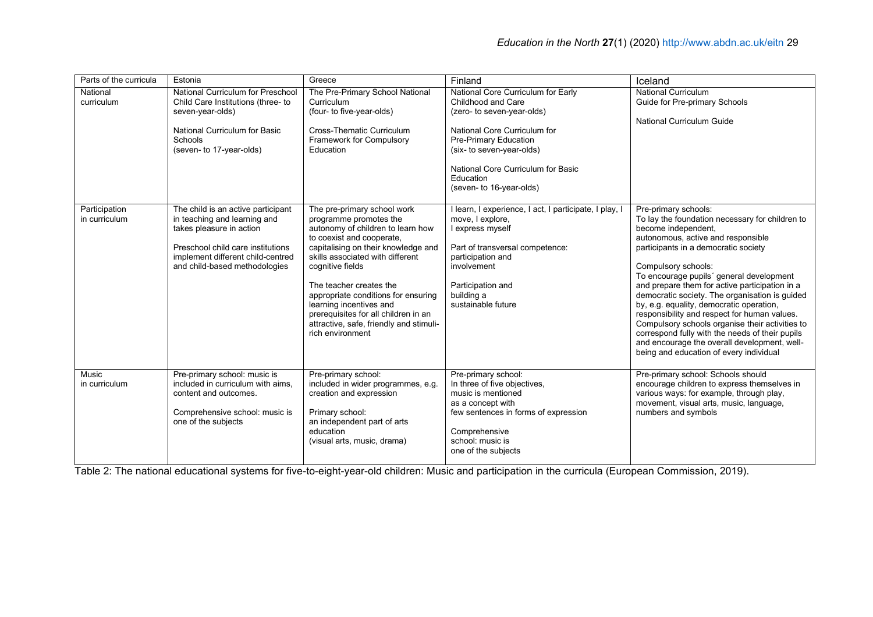| Parts of the curricula         | Estonia                                                                                                                                                                                                   | Greece                                                                                                                                                                                                                                                                                                                                                                                                                     | Finland                                                                                                                                                                                                                                                     | Iceland                                                                                                                                                                                                                                                                                                                                                                                                                                                                                                                                                                                                                                          |
|--------------------------------|-----------------------------------------------------------------------------------------------------------------------------------------------------------------------------------------------------------|----------------------------------------------------------------------------------------------------------------------------------------------------------------------------------------------------------------------------------------------------------------------------------------------------------------------------------------------------------------------------------------------------------------------------|-------------------------------------------------------------------------------------------------------------------------------------------------------------------------------------------------------------------------------------------------------------|--------------------------------------------------------------------------------------------------------------------------------------------------------------------------------------------------------------------------------------------------------------------------------------------------------------------------------------------------------------------------------------------------------------------------------------------------------------------------------------------------------------------------------------------------------------------------------------------------------------------------------------------------|
| National<br>curriculum         | National Curriculum for Preschool<br>Child Care Institutions (three- to<br>seven-year-olds)<br>National Curriculum for Basic<br>Schools<br>(seven- to 17-year-olds)                                       | The Pre-Primary School National<br>Curriculum<br>(four- to five-year-olds)<br><b>Cross-Thematic Curriculum</b><br>Framework for Compulsory<br>Education                                                                                                                                                                                                                                                                    | National Core Curriculum for Early<br>Childhood and Care<br>(zero- to seven-year-olds)<br>National Core Curriculum for<br>Pre-Primary Education<br>(six- to seven-year-olds)<br>National Core Curriculum for Basic<br>Education<br>(seven- to 16-year-olds) | <b>National Curriculum</b><br>Guide for Pre-primary Schools<br><b>National Curriculum Guide</b>                                                                                                                                                                                                                                                                                                                                                                                                                                                                                                                                                  |
| Participation<br>in curriculum | The child is an active participant<br>in teaching and learning and<br>takes pleasure in action<br>Preschool child care institutions<br>implement different child-centred<br>and child-based methodologies | The pre-primary school work<br>programme promotes the<br>autonomy of children to learn how<br>to coexist and cooperate,<br>capitalising on their knowledge and<br>skills associated with different<br>cognitive fields<br>The teacher creates the<br>appropriate conditions for ensuring<br>learning incentives and<br>prerequisites for all children in an<br>attractive, safe, friendly and stimuli-<br>rich environment | I learn, I experience, I act, I participate, I play, I<br>move, I explore,<br>express myself<br>Part of transversal competence:<br>participation and<br>involvement<br>Participation and<br>building a<br>sustainable future                                | Pre-primary schools:<br>To lay the foundation necessary for children to<br>become independent.<br>autonomous, active and responsible<br>participants in a democratic society<br>Compulsory schools:<br>To encourage pupils' general development<br>and prepare them for active participation in a<br>democratic society. The organisation is guided<br>by, e.g. equality, democratic operation,<br>responsibility and respect for human values.<br>Compulsory schools organise their activities to<br>correspond fully with the needs of their pupils<br>and encourage the overall development, well-<br>being and education of every individual |
| Music<br>in curriculum         | Pre-primary school: music is<br>included in curriculum with aims,<br>content and outcomes.<br>Comprehensive school: music is<br>one of the subjects                                                       | Pre-primary school:<br>included in wider programmes, e.g.<br>creation and expression<br>Primary school:<br>an independent part of arts<br>education<br>(visual arts, music, drama)                                                                                                                                                                                                                                         | Pre-primary school:<br>In three of five objectives,<br>music is mentioned<br>as a concept with<br>few sentences in forms of expression<br>Comprehensive<br>school: music is<br>one of the subjects                                                          | Pre-primary school: Schools should<br>encourage children to express themselves in<br>various ways: for example, through play,<br>movement, visual arts, music, language,<br>numbers and symbols                                                                                                                                                                                                                                                                                                                                                                                                                                                  |

Table 2: The national educational systems for five-to-eight-year-old children: Music and participation in the curricula (European Commission, 2019).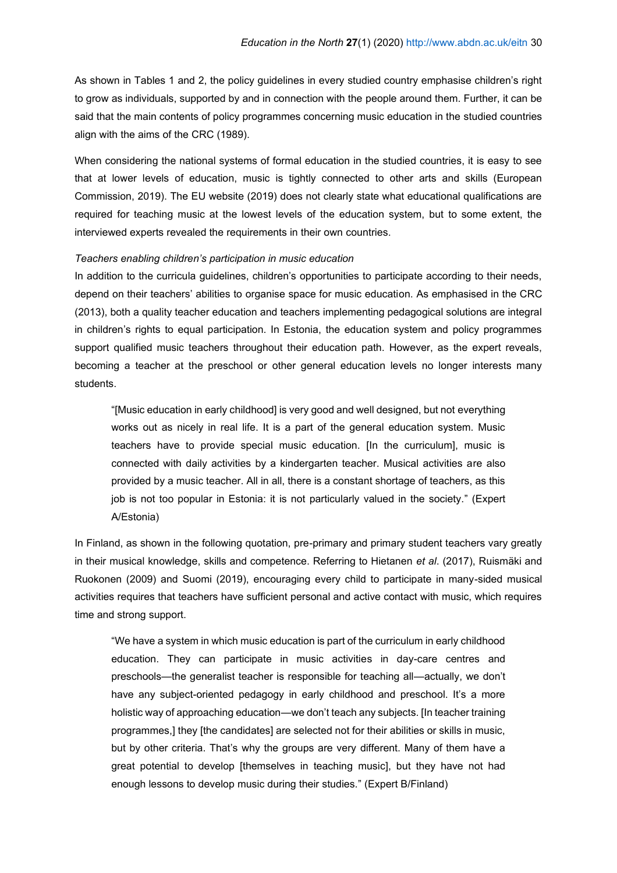As shown in Tables 1 and 2, the policy guidelines in every studied country emphasise children's right to grow as individuals, supported by and in connection with the people around them. Further, it can be said that the main contents of policy programmes concerning music education in the studied countries align with the aims of the CRC (1989).

When considering the national systems of formal education in the studied countries, it is easy to see that at lower levels of education, music is tightly connected to other arts and skills (European Commission, 2019). The EU website (2019) does not clearly state what educational qualifications are required for teaching music at the lowest levels of the education system, but to some extent, the interviewed experts revealed the requirements in their own countries.

#### *Teachers enabling children's participation in music education*

In addition to the curricula guidelines, children's opportunities to participate according to their needs, depend on their teachers' abilities to organise space for music education. As emphasised in the CRC (2013), both a quality teacher education and teachers implementing pedagogical solutions are integral in children's rights to equal participation. In Estonia, the education system and policy programmes support qualified music teachers throughout their education path. However, as the expert reveals, becoming a teacher at the preschool or other general education levels no longer interests many students.

"[Music education in early childhood] is very good and well designed, but not everything works out as nicely in real life. It is a part of the general education system. Music teachers have to provide special music education. [In the curriculum], music is connected with daily activities by a kindergarten teacher. Musical activities are also provided by a music teacher. All in all, there is a constant shortage of teachers, as this job is not too popular in Estonia: it is not particularly valued in the society." (Expert A/Estonia)

In Finland, as shown in the following quotation, pre-primary and primary student teachers vary greatly in their musical knowledge, skills and competence. Referring to Hietanen *et al*. (2017), Ruismäki and Ruokonen (2009) and Suomi (2019), encouraging every child to participate in many-sided musical activities requires that teachers have sufficient personal and active contact with music, which requires time and strong support.

"We have a system in which music education is part of the curriculum in early childhood education. They can participate in music activities in day-care centres and preschools—the generalist teacher is responsible for teaching all—actually, we don't have any subject-oriented pedagogy in early childhood and preschool. It's a more holistic way of approaching education—we don't teach any subjects. [In teacher training programmes,] they [the candidates] are selected not for their abilities or skills in music, but by other criteria. That's why the groups are very different. Many of them have a great potential to develop [themselves in teaching music], but they have not had enough lessons to develop music during their studies." (Expert B/Finland)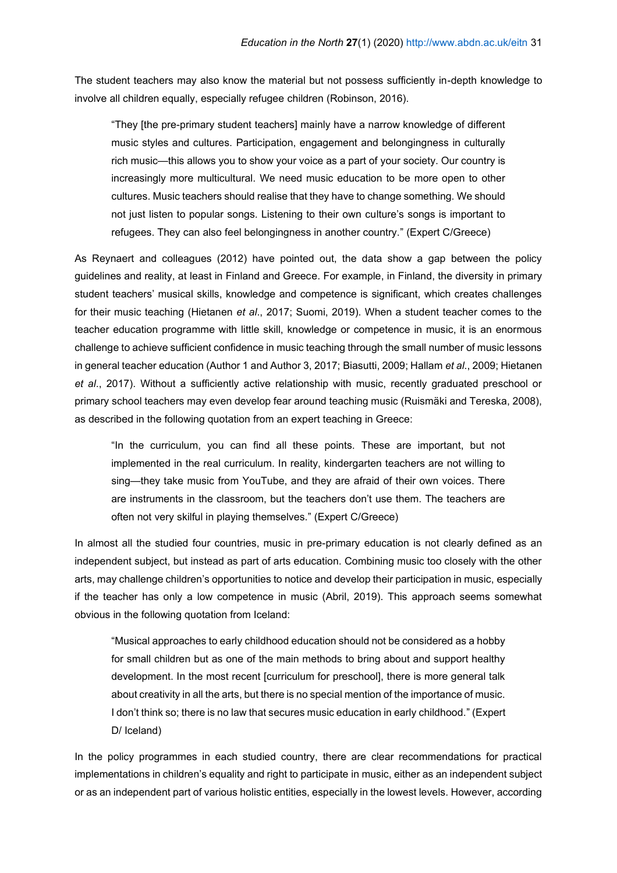The student teachers may also know the material but not possess sufficiently in-depth knowledge to involve all children equally, especially refugee children (Robinson, 2016).

"They [the pre-primary student teachers] mainly have a narrow knowledge of different music styles and cultures. Participation, engagement and belongingness in culturally rich music—this allows you to show your voice as a part of your society. Our country is increasingly more multicultural. We need music education to be more open to other cultures. Music teachers should realise that they have to change something. We should not just listen to popular songs. Listening to their own culture's songs is important to refugees. They can also feel belongingness in another country." (Expert C/Greece)

As Reynaert and colleagues (2012) have pointed out, the data show a gap between the policy guidelines and reality, at least in Finland and Greece. For example, in Finland, the diversity in primary student teachers' musical skills, knowledge and competence is significant, which creates challenges for their music teaching (Hietanen *et al*., 2017; Suomi, 2019). When a student teacher comes to the teacher education programme with little skill, knowledge or competence in music, it is an enormous challenge to achieve sufficient confidence in music teaching through the small number of music lessons in general teacher education (Author 1 and Author 3, 2017; Biasutti, 2009; Hallam *et al*., 2009; Hietanen *et al*., 2017). Without a sufficiently active relationship with music, recently graduated preschool or primary school teachers may even develop fear around teaching music (Ruismäki and Tereska, 2008), as described in the following quotation from an expert teaching in Greece:

"In the curriculum, you can find all these points. These are important, but not implemented in the real curriculum. In reality, kindergarten teachers are not willing to sing—they take music from YouTube, and they are afraid of their own voices. There are instruments in the classroom, but the teachers don't use them. The teachers are often not very skilful in playing themselves." (Expert C/Greece)

In almost all the studied four countries, music in pre-primary education is not clearly defined as an independent subject, but instead as part of arts education. Combining music too closely with the other arts, may challenge children's opportunities to notice and develop their participation in music, especially if the teacher has only a low competence in music (Abril, 2019). This approach seems somewhat obvious in the following quotation from Iceland:

"Musical approaches to early childhood education should not be considered as a hobby for small children but as one of the main methods to bring about and support healthy development. In the most recent [curriculum for preschool], there is more general talk about creativity in all the arts, but there is no special mention of the importance of music. I don't think so; there is no law that secures music education in early childhood." (Expert D/ Iceland)

In the policy programmes in each studied country, there are clear recommendations for practical implementations in children's equality and right to participate in music, either as an independent subject or as an independent part of various holistic entities, especially in the lowest levels. However, according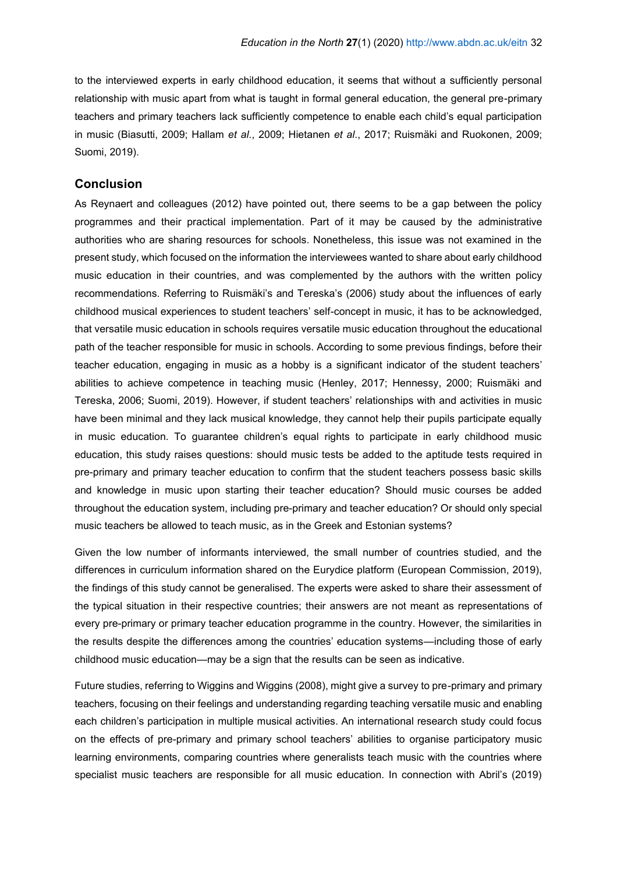to the interviewed experts in early childhood education, it seems that without a sufficiently personal relationship with music apart from what is taught in formal general education, the general pre-primary teachers and primary teachers lack sufficiently competence to enable each child's equal participation in music (Biasutti, 2009; Hallam *et al*., 2009; Hietanen *et al*., 2017; Ruismäki and Ruokonen, 2009; Suomi, 2019).

## **Conclusion**

As Reynaert and colleagues (2012) have pointed out, there seems to be a gap between the policy programmes and their practical implementation. Part of it may be caused by the administrative authorities who are sharing resources for schools. Nonetheless, this issue was not examined in the present study, which focused on the information the interviewees wanted to share about early childhood music education in their countries, and was complemented by the authors with the written policy recommendations. Referring to Ruismäki's and Tereska's (2006) study about the influences of early childhood musical experiences to student teachers' self-concept in music, it has to be acknowledged, that versatile music education in schools requires versatile music education throughout the educational path of the teacher responsible for music in schools. According to some previous findings, before their teacher education, engaging in music as a hobby is a significant indicator of the student teachers' abilities to achieve competence in teaching music (Henley, 2017; Hennessy, 2000; Ruismäki and Tereska, 2006; Suomi, 2019). However, if student teachers' relationships with and activities in music have been minimal and they lack musical knowledge, they cannot help their pupils participate equally in music education. To guarantee children's equal rights to participate in early childhood music education, this study raises questions: should music tests be added to the aptitude tests required in pre-primary and primary teacher education to confirm that the student teachers possess basic skills and knowledge in music upon starting their teacher education? Should music courses be added throughout the education system, including pre-primary and teacher education? Or should only special music teachers be allowed to teach music, as in the Greek and Estonian systems?

Given the low number of informants interviewed, the small number of countries studied, and the differences in curriculum information shared on the Eurydice platform (European Commission, 2019), the findings of this study cannot be generalised. The experts were asked to share their assessment of the typical situation in their respective countries; their answers are not meant as representations of every pre-primary or primary teacher education programme in the country. However, the similarities in the results despite the differences among the countries' education systems—including those of early childhood music education—may be a sign that the results can be seen as indicative.

Future studies, referring to Wiggins and Wiggins (2008), might give a survey to pre-primary and primary teachers, focusing on their feelings and understanding regarding teaching versatile music and enabling each children's participation in multiple musical activities. An international research study could focus on the effects of pre-primary and primary school teachers' abilities to organise participatory music learning environments, comparing countries where generalists teach music with the countries where specialist music teachers are responsible for all music education. In connection with Abril's (2019)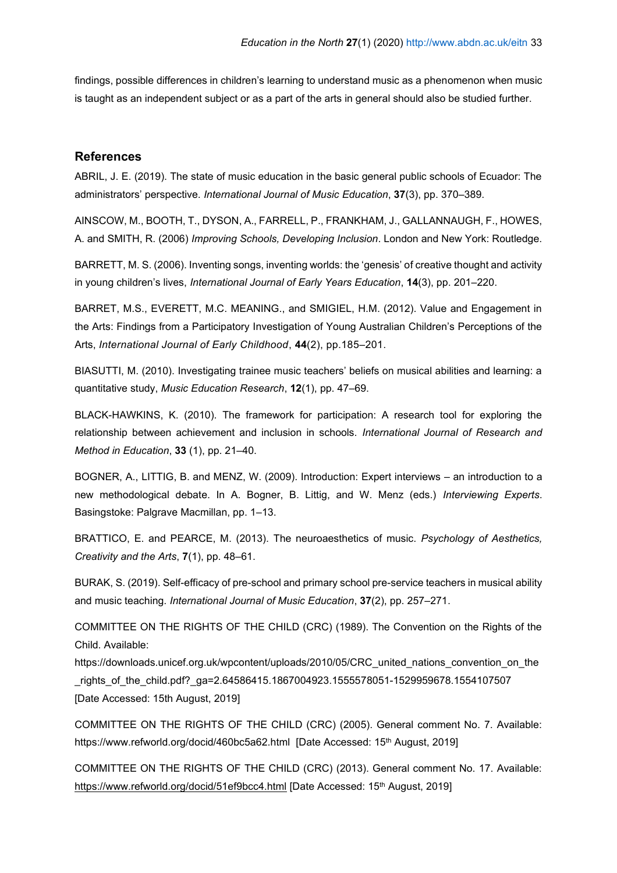findings, possible differences in children's learning to understand music as a phenomenon when music is taught as an independent subject or as a part of the arts in general should also be studied further.

### **References**

ABRIL, J. E. (2019). The state of music education in the basic general public schools of Ecuador: The administrators' perspective. *International Journal of Music Education*, **37**(3), pp. 370–389.

AINSCOW, M., BOOTH, T., DYSON, A., FARRELL, P., FRANKHAM, J., GALLANNAUGH, F., HOWES, A. and SMITH, R. (2006) *Improving Schools, Developing Inclusion*. London and New York: Routledge.

BARRETT, M. S. (2006). Inventing songs, inventing worlds: the 'genesis' of creative thought and activity in young children's lives, *International Journal of Early Years Education*, **14**(3), pp. 201–220.

BARRET, M.S., EVERETT, M.C. MEANING., and SMIGIEL, H.M. (2012). Value and Engagement in the Arts: Findings from a Participatory Investigation of Young Australian Children's Perceptions of the Arts, *[International Journal of Early Childhood](https://link.springer.com/journal/13158)*, **44**(2), pp.185–201.

BIASUTTI, M. (2010). Investigating trainee music teachers' beliefs on musical abilities and learning: a quantitative study, *Music Education Research*, **12**(1), pp. 47–69.

BLACK-HAWKINS, K. (2010). The framework for participation: A research tool for exploring the relationship between achievement and inclusion in schools. *International Journal of Research and Method in Education*, **33** (1), pp. 21–40.

BOGNER, A., LITTIG, B. and MENZ, W. (2009). Introduction: Expert interviews – an introduction to a new methodological debate. In A. Bogner, B. Littig, and W. Menz (eds.) *Interviewing Experts*. Basingstoke: Palgrave Macmillan, pp. 1–13.

BRATTICO, E. and PEARCE, M. (2013). The neuroaesthetics of music. *Psychology of Aesthetics, Creativity and the Arts*, **7**(1), pp. 48–61.

BURAK, S. (2019). Self-efficacy of pre-school and primary school pre-service teachers in musical ability and music teaching. *International Journal of Music Education*, **37**(2), pp. 257–271.

COMMITTEE ON THE RIGHTS OF THE CHILD (CRC) (1989). The Convention on the Rights of the Child. Available:

https://downloads.unicef.org.uk/wpcontent/uploads/2010/05/CRC\_united\_nations\_convention\_on\_the \_rights\_of\_the\_child.pdf?\_ga=2.64586415.1867004923.1555578051-1529959678.1554107507 [Date Accessed: 15th August, 2019]

COMMITTEE ON THE RIGHTS OF THE CHILD (CRC) (2005). General comment No. 7. Available: <https://www.refworld.org/docid/460bc5a62.html>[Date Accessed: 15<sup>th</sup> August, 2019]

COMMITTEE ON THE RIGHTS OF THE CHILD (CRC) (2013). General comment No. 17. Available: <https://www.refworld.org/docid/51ef9bcc4.html> [Date Accessed: 15<sup>th</sup> August, 2019]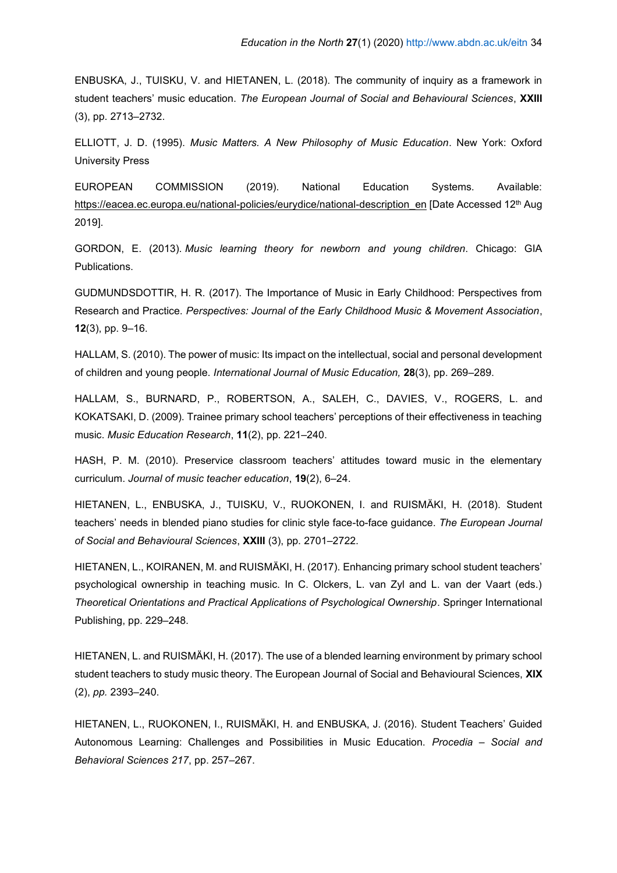ENBUSKA, J., TUISKU, V. and HIETANEN, L. (2018). The community of inquiry as a framework in student teachers' music education. *The European Journal of Social and Behavioural Sciences*, **XXIII**  (3), pp. 2713–2732.

ELLIOTT, J. D. (1995). *Music Matters. A New Philosophy of Music Education*. New York: Oxford University Press

EUROPEAN COMMISSION (2019). National Education Systems. Available: [https://eacea.ec.europa.eu/national-policies/eurydice/national-description\\_en](https://eacea.ec.europa.eu/national-policies/eurydice/national-description_en) [Date Accessed 12<sup>th</sup> Aug 2019].

GORDON, E. (2013). *Music learning theory for newborn and young children*. Chicago: GIA Publications.

GUDMUNDSDOTTIR, H. R. (2017). The Importance of Music in Early Childhood: Perspectives from Research and Practice. *Perspectives: Journal of the Early Childhood Music & Movement Association*, **12**(3), pp. 9–16.

HALLAM, S. (2010). The power of music: Its impact on the intellectual, social and personal development of children and young people. *International Journal of Music Education,* **28**(3), pp. 269–289.

HALLAM, S., BURNARD, P., ROBERTSON, A., SALEH, C., DAVIES, V., ROGERS, L. and KOKATSAKI, D. (2009). Trainee primary school teachers' perceptions of their effectiveness in teaching music. *Music Education Research*, **11**(2), pp. 221–240.

HASH, P. M. (2010). Preservice classroom teachers' attitudes toward music in the elementary curriculum. *Journal of music teacher education*, **19**(2), 6–24.

HIETANEN, L., ENBUSKA, J., TUISKU, V., RUOKONEN, I. and RUISMÄKI, H. (2018). Student teachers' needs in blended piano studies for clinic style face-to-face guidance. *The European Journal of Social and Behavioural Sciences*, **XXIII** (3), pp. 2701–2722.

HIETANEN, L., KOIRANEN, M. and RUISMÄKI, H. (2017). Enhancing primary school student teachers' psychological ownership in teaching music. In C. Olckers, L. van Zyl and L. van der Vaart (eds.) *Theoretical Orientations and Practical Applications of Psychological Ownership*. Springer International Publishing, pp. 229–248.

HIETANEN, L. and RUISMÄKI, H. (2017). The use of a blended learning environment by primary school student teachers to study music theory. The European Journal of Social and Behavioural Sciences, **XIX** (2), *pp.* 2393–240.

HIETANEN, L., RUOKONEN, I., RUISMÄKI, H. and ENBUSKA, J. (2016). Student Teachers' Guided Autonomous Learning: Challenges and Possibilities in Music Education. *Procedia – Social and Behavioral Sciences 217*, pp. 257–267.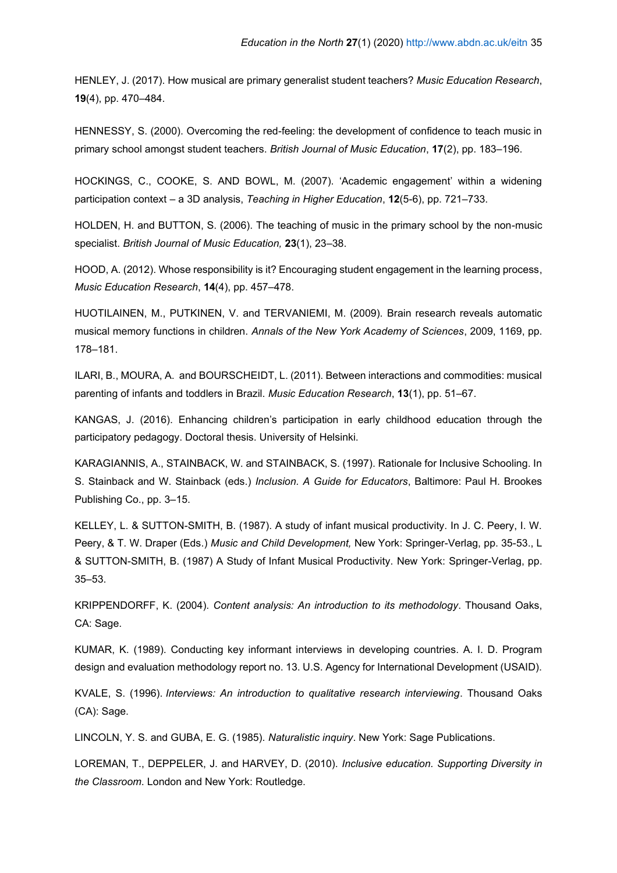HENLEY, J. (2017). How musical are primary generalist student teachers? *Music Education Research*, **19**(4), pp. 470–484.

HENNESSY, S. (2000). Overcoming the red-feeling: the development of confidence to teach music in primary school amongst student teachers. *British Journal of Music Education*, **17**(2), pp. 183–196.

HOCKINGS, C., COOKE, S. AND BOWL, M. (2007). 'Academic engagement' within a widening participation context – a 3D analysis, *Teaching in Higher Education*, **12**(5-6), pp. 721–733.

HOLDEN, H. and BUTTON, S. (2006). The teaching of music in the primary school by the non-music specialist. *British Journal of Music Education,* **23**(1), 23–38.

HOOD, A. (2012). Whose responsibility is it? Encouraging student engagement in the learning process, *Music Education Research*, **14**(4), pp. 457–478.

HUOTILAINEN, M., PUTKINEN, V. and TERVANIEMI, M. (2009). Brain research reveals automatic musical memory functions in children. *Annals of the New York Academy of Sciences*, 2009, 1169, pp. 178–181.

ILARI, B., MOURA, A. and BOURSCHEIDT, L. (2011). Between interactions and commodities: musical parenting of infants and toddlers in Brazil. *Music Education Research*, **13**(1), pp. 51–67.

KANGAS, J. (2016). Enhancing children's participation in early childhood education through the participatory pedagogy. Doctoral thesis. University of Helsinki.

KARAGIANNIS, A., STAINBACK, W. and STAINBACK, S. (1997). Rationale for Inclusive Schooling. In S. Stainback and W. Stainback (eds.) *Inclusion. A Guide for Educators*, Baltimore: Paul H. Brookes Publishing Co., pp. 3–15.

KELLEY, L. & SUTTON-SMITH, B. (1987). A study of infant musical productivity. In J. C. Peery, I. W. Peery, & T. W. Draper (Eds.) *Music and Child Development,* New York: Springer-Verlag, pp. 35-53., L & SUTTON-SMITH, B. (1987) A Study of Infant Musical Productivity. New York: Springer-Verlag, pp. 35–53.

KRIPPENDORFF, K. (2004). *Content analysis: An introduction to its methodology*. Thousand Oaks, CA: Sage.

KUMAR, K. (1989). Conducting key informant interviews in developing countries. A. I. D. Program design and evaluation methodology report no. 13. U.S. Agency for International Development (USAID).

KVALE, S. (1996). *Interviews: An introduction to qualitative research interviewing*. Thousand Oaks (CA): Sage.

LINCOLN, Y. S. and GUBA, E. G. (1985). *Naturalistic inquiry*. New York: Sage Publications.

LOREMAN, T., DEPPELER, J. and HARVEY, D. (2010). *Inclusive education. Supporting Diversity in the Classroom*. London and New York: Routledge.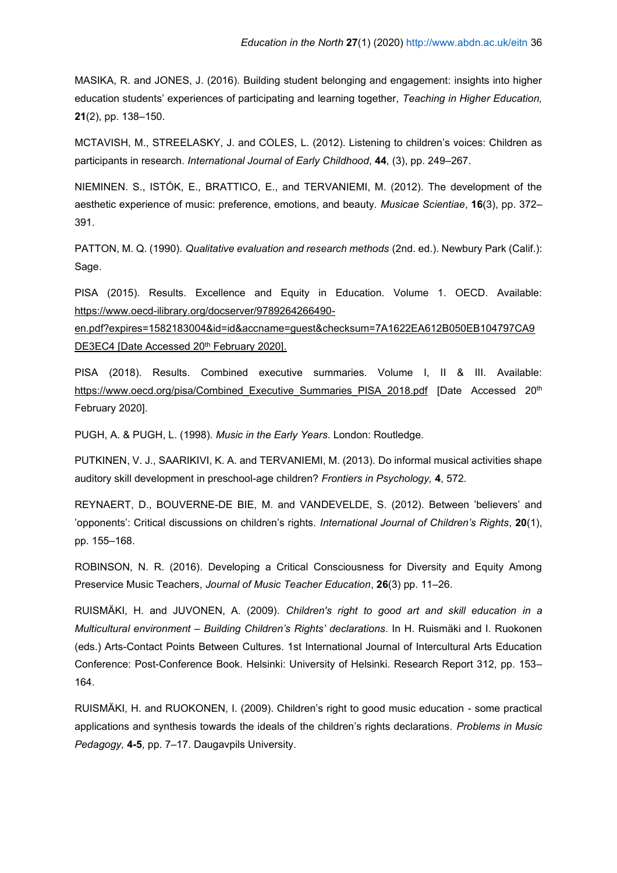MASIKA, R. and JONES, J. (2016). Building student belonging and engagement: insights into higher education students' experiences of participating and learning together, *Teaching in Higher Education,* **21**(2), pp. 138–150.

MCTAVISH, M., STREELASKY, J. and COLES, L. (2012). Listening to children's voices: Children as participants in research. *International Journal of Early Childhood*, **44**, (3), pp. 249–267.

NIEMINEN. S., ISTÓK, E., BRATTICO, E., and TERVANIEMI, M. (2012). The development of the aesthetic experience of music: preference, emotions, and beauty. *Musicae Scientiae*, **16**(3), pp. 372– 391.

PATTON, M. Q. (1990). *Qualitative evaluation and research methods* (2nd. ed.). Newbury Park (Calif.): Sage.

PISA (2015). Results. Excellence and Equity in Education. Volume 1. OECD. Available: [https://www.oecd-ilibrary.org/docserver/9789264266490-](https://www.oecd-ilibrary.org/docserver/9789264266490-en.pdf?expires=1582183004&id=id&accname=guest&checksum=7A1622EA612B050EB104797CA9DE3EC4)

[en.pdf?expires=1582183004&id=id&accname=guest&checksum=7A1622EA612B050EB104797CA9](https://www.oecd-ilibrary.org/docserver/9789264266490-en.pdf?expires=1582183004&id=id&accname=guest&checksum=7A1622EA612B050EB104797CA9DE3EC4) [DE3EC4](https://www.oecd-ilibrary.org/docserver/9789264266490-en.pdf?expires=1582183004&id=id&accname=guest&checksum=7A1622EA612B050EB104797CA9DE3EC4) [Date Accessed 20<sup>th</sup> February 2020].

PISA (2018). Results. Combined executive summaries. Volume I, II & III. Available: https://www.oecd.org/pisa/Combined Executive Summaries PISA 2018.pdf [Date Accessed 20th February 2020].

PUGH, A. & PUGH, L. (1998). *Music in the Early Years*. London: Routledge.

PUTKINEN, V. J., SAARIKIVI, K. A. and TERVANIEMI, M. (2013). Do informal musical activities shape auditory skill development in preschool-age children? *Frontiers in Psychology,* **4**, 572.

REYNAERT, D., BOUVERNE-DE BIE, M. and VANDEVELDE, S. (2012). Between 'believers' and 'opponents': Critical discussions on children's rights. *International Journal of Children's Rights*, **20**(1), pp. 155–168.

ROBINSON, N. R. (2016). Developing a Critical Consciousness for Diversity and Equity Among Preservice Music Teachers, *Journal of Music Teacher Education*, **26**(3) pp. 11–26.

RUISMÄKI, H. and JUVONEN, A. (2009). *Children's right to good art and skill education in a Multicultural environment – Building Children's Rights' declarations*. In H. Ruismäki and I. Ruokonen (eds.) Arts-Contact Points Between Cultures. 1st International Journal of Intercultural Arts Education Conference: Post-Conference Book. Helsinki: University of Helsinki. Research Report 312, pp. 153– 164.

RUISMÄKI, H. and RUOKONEN, I. (2009). Children's right to good music education - some practical applications and synthesis towards the ideals of the children's rights declarations. *Problems in Music Pedagogy,* **4-5**, pp. 7–17. Daugavpils University.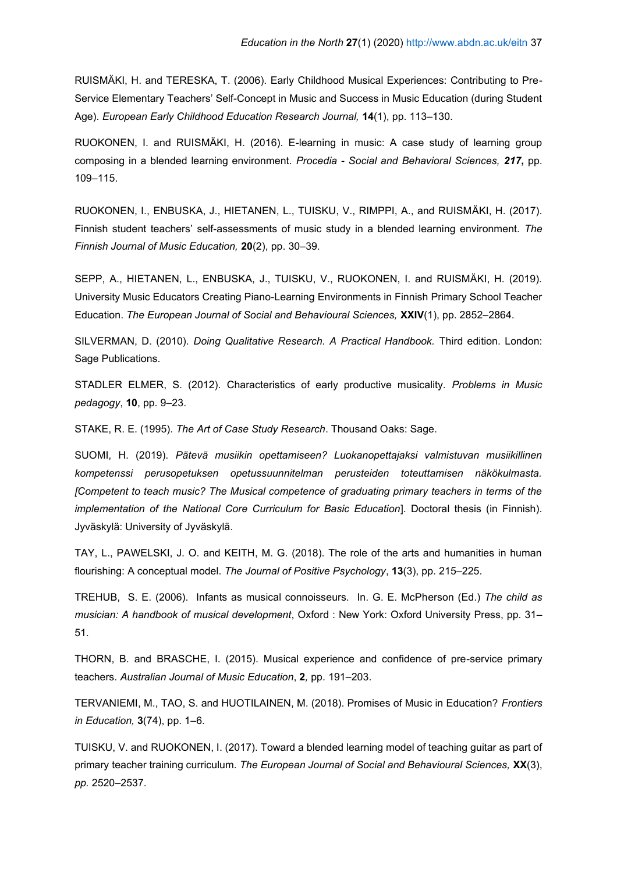RUISMÄKI, H. and TERESKA, T. (2006). Early Childhood Musical Experiences: Contributing to Pre-Service Elementary Teachers' Self-Concept in Music and Success in Music Education (during Student Age). *European Early Childhood Education Research Journal,* **14**(1), pp. 113–130.

RUOKONEN, I. and RUISMÄKI, H. (2016). E-learning in music: A case study of learning group composing in a blended learning environment. *Procedia - Social and Behavioral Sciences, 217***,** pp. 109–115.

RUOKONEN, I., ENBUSKA, J., HIETANEN, L., TUISKU, V., RIMPPI, A., and RUISMÄKI, H. (2017). Finnish student teachers' self-assessments of music study in a blended learning environment. *The Finnish Journal of Music Education,* **20**(2), pp. 30–39.

SEPP, A., HIETANEN, L., ENBUSKA, J., TUISKU, V., RUOKONEN, I. and RUISMÄKI, H. (2019). University Music Educators Creating Piano-Learning Environments in Finnish Primary School Teacher Education. *The European Journal of Social and Behavioural Sciences,* **XXIV**(1), pp. 2852–2864.

SILVERMAN, D. (2010). *Doing Qualitative Research. A Practical Handbook.* Third edition. London: Sage Publications.

STADLER ELMER, S. (2012). Characteristics of early productive musicality. *Problems in Music pedagogy*, **10**, pp. 9–23.

STAKE, R. E. (1995). *The Art of Case Study Research*. Thousand Oaks: Sage.

SUOMI, H. (2019). *Pätevä musiikin opettamiseen? Luokanopettajaksi valmistuvan musiikillinen kompetenssi perusopetuksen opetussuunnitelman perusteiden toteuttamisen näkökulmasta. [Competent to teach music? The Musical competence of graduating primary teachers in terms of the implementation of the National Core Curriculum for Basic Education*]. Doctoral thesis (in Finnish). Jyväskylä: University of Jyväskylä.

TAY, L., PAWELSKI, J. O. and KEITH, M. G. (2018). The role of the arts and humanities in human flourishing: A conceptual model. *The Journal of Positive Psychology*, **13**(3), pp. 215–225.

TREHUB, S. E. (2006). Infants as musical connoisseurs. In. G. E. McPherson (Ed.) *The child as musician: A handbook of musical development*, Oxford : New York: Oxford University Press, pp. 31– 51.

THORN, B. and BRASCHE, I. (2015). Musical experience and confidence of pre-service primary teachers. *Australian Journal of Music Education*, **2***,* pp. 191–203.

TERVANIEMI, M., TAO, S. and HUOTILAINEN, M. (2018). Promises of Music in Education? *Frontiers in Education,* **3**(74), pp. 1–6.

TUISKU, V. and RUOKONEN, I. (2017). Toward a blended learning model of teaching guitar as part of primary teacher training curriculum. *The European Journal of Social and Behavioural Sciences,* **XX**(3), *pp.* 2520–2537.